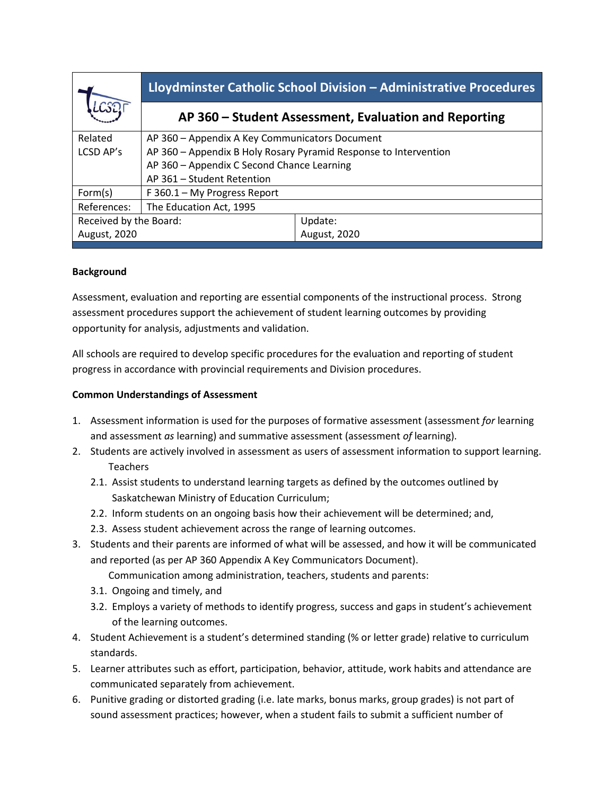|                        | Lloydminster Catholic School Division - Administrative Procedures |              |
|------------------------|-------------------------------------------------------------------|--------------|
|                        | AP 360 – Student Assessment, Evaluation and Reporting             |              |
| Related                | AP 360 - Appendix A Key Communicators Document                    |              |
| LCSD AP's              | AP 360 - Appendix B Holy Rosary Pyramid Response to Intervention  |              |
|                        | AP 360 - Appendix C Second Chance Learning                        |              |
|                        | AP 361 - Student Retention                                        |              |
| Form(s)                | F 360.1 - My Progress Report                                      |              |
| References:            | The Education Act, 1995                                           |              |
| Received by the Board: |                                                                   | Update:      |
| August, 2020           |                                                                   | August, 2020 |
|                        |                                                                   |              |

### **Background**

Assessment, evaluation and reporting are essential components of the instructional process. Strong assessment procedures support the achievement of student learning outcomes by providing opportunity for analysis, adjustments and validation.

All schools are required to develop specific procedures for the evaluation and reporting of student progress in accordance with provincial requirements and Division procedures.

#### **Common Understandings of Assessment**

- 1. Assessment information is used for the purposes of formative assessment (assessment *for* learning and assessment *as* learning) and summative assessment (assessment *of* learning).
- 2. Students are actively involved in assessment as users of assessment information to support learning. Teachers
	- 2.1. Assist students to understand learning targets as defined by the outcomes outlined by Saskatchewan Ministry of Education Curriculum;
	- 2.2. Inform students on an ongoing basis how their achievement will be determined; and,
	- 2.3. Assess student achievement across the range of learning outcomes.
- 3. Students and their parents are informed of what will be assessed, and how it will be communicated and reported (as per AP 360 Appendix A Key Communicators Document).

Communication among administration, teachers, students and parents:

- 3.1. Ongoing and timely, and
- 3.2. Employs a variety of methods to identify progress, success and gaps in student's achievement of the learning outcomes.
- 4. Student Achievement is a student's determined standing (% or letter grade) relative to curriculum standards.
- 5. Learner attributes such as effort, participation, behavior, attitude, work habits and attendance are communicated separately from achievement.
- 6. Punitive grading or distorted grading (i.e. late marks, bonus marks, group grades) is not part of sound assessment practices; however, when a student fails to submit a sufficient number of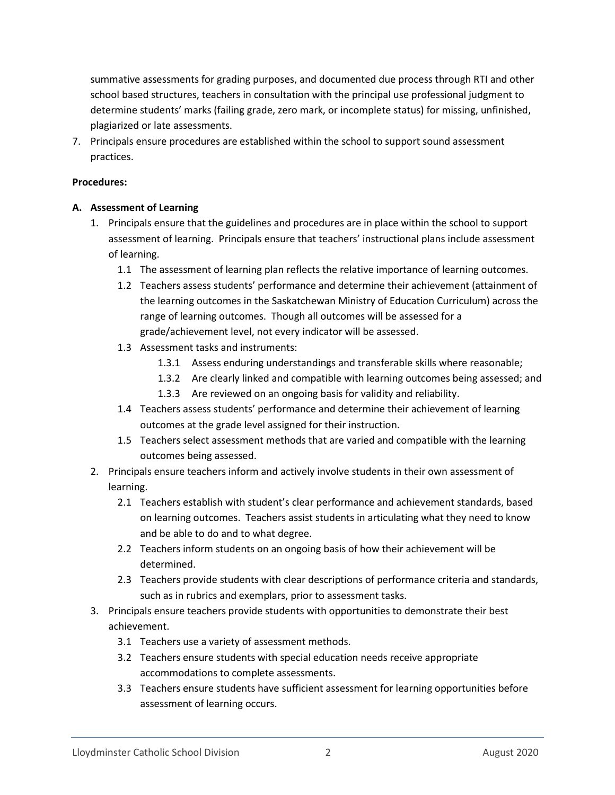summative assessments for grading purposes, and documented due process through RTI and other school based structures, teachers in consultation with the principal use professional judgment to determine students' marks (failing grade, zero mark, or incomplete status) for missing, unfinished, plagiarized or late assessments.

7. Principals ensure procedures are established within the school to support sound assessment practices.

#### **Procedures:**

#### **A. Assessment of Learning**

- 1. Principals ensure that the guidelines and procedures are in place within the school to support assessment of learning. Principals ensure that teachers' instructional plans include assessment of learning.
	- 1.1 The assessment of learning plan reflects the relative importance of learning outcomes.
	- 1.2 Teachers assess students' performance and determine their achievement (attainment of the learning outcomes in the Saskatchewan Ministry of Education Curriculum) across the range of learning outcomes. Though all outcomes will be assessed for a grade/achievement level, not every indicator will be assessed.
	- 1.3 Assessment tasks and instruments:
		- 1.3.1 Assess enduring understandings and transferable skills where reasonable;
		- 1.3.2 Are clearly linked and compatible with learning outcomes being assessed; and
		- 1.3.3 Are reviewed on an ongoing basis for validity and reliability.
	- 1.4 Teachers assess students' performance and determine their achievement of learning outcomes at the grade level assigned for their instruction.
	- 1.5 Teachers select assessment methods that are varied and compatible with the learning outcomes being assessed.
- 2. Principals ensure teachers inform and actively involve students in their own assessment of learning.
	- 2.1 Teachers establish with student's clear performance and achievement standards, based on learning outcomes. Teachers assist students in articulating what they need to know and be able to do and to what degree.
	- 2.2 Teachers inform students on an ongoing basis of how their achievement will be determined.
	- 2.3 Teachers provide students with clear descriptions of performance criteria and standards, such as in rubrics and exemplars, prior to assessment tasks.
- 3. Principals ensure teachers provide students with opportunities to demonstrate their best achievement.
	- 3.1 Teachers use a variety of assessment methods.
	- 3.2 Teachers ensure students with special education needs receive appropriate accommodations to complete assessments.
	- 3.3 Teachers ensure students have sufficient assessment for learning opportunities before assessment of learning occurs.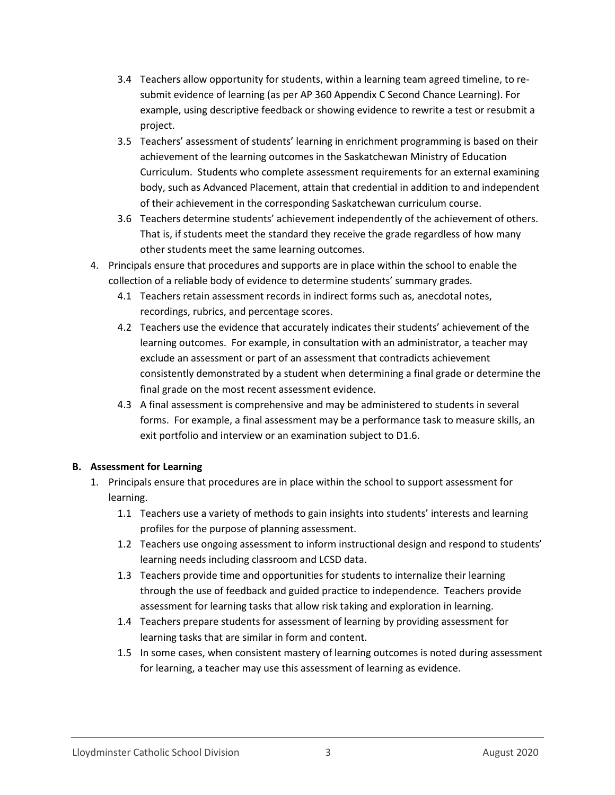- 3.4 Teachers allow opportunity for students, within a learning team agreed timeline, to resubmit evidence of learning (as per AP 360 Appendix C Second Chance Learning). For example, using descriptive feedback or showing evidence to rewrite a test or resubmit a project.
- 3.5 Teachers' assessment of students' learning in enrichment programming is based on their achievement of the learning outcomes in the Saskatchewan Ministry of Education Curriculum. Students who complete assessment requirements for an external examining body, such as Advanced Placement, attain that credential in addition to and independent of their achievement in the corresponding Saskatchewan curriculum course.
- 3.6 Teachers determine students' achievement independently of the achievement of others. That is, if students meet the standard they receive the grade regardless of how many other students meet the same learning outcomes.
- 4. Principals ensure that procedures and supports are in place within the school to enable the collection of a reliable body of evidence to determine students' summary grades.
	- 4.1 Teachers retain assessment records in indirect forms such as, anecdotal notes, recordings, rubrics, and percentage scores.
	- 4.2 Teachers use the evidence that accurately indicates their students' achievement of the learning outcomes. For example, in consultation with an administrator, a teacher may exclude an assessment or part of an assessment that contradicts achievement consistently demonstrated by a student when determining a final grade or determine the final grade on the most recent assessment evidence.
	- 4.3 A final assessment is comprehensive and may be administered to students in several forms. For example, a final assessment may be a performance task to measure skills, an exit portfolio and interview or an examination subject to D1.6.

### **B. Assessment for Learning**

- 1. Principals ensure that procedures are in place within the school to support assessment for learning.
	- 1.1 Teachers use a variety of methods to gain insights into students' interests and learning profiles for the purpose of planning assessment.
	- 1.2 Teachers use ongoing assessment to inform instructional design and respond to students' learning needs including classroom and LCSD data.
	- 1.3 Teachers provide time and opportunities for students to internalize their learning through the use of feedback and guided practice to independence. Teachers provide assessment for learning tasks that allow risk taking and exploration in learning.
	- 1.4 Teachers prepare students for assessment of learning by providing assessment for learning tasks that are similar in form and content.
	- 1.5 In some cases, when consistent mastery of learning outcomes is noted during assessment for learning, a teacher may use this assessment of learning as evidence.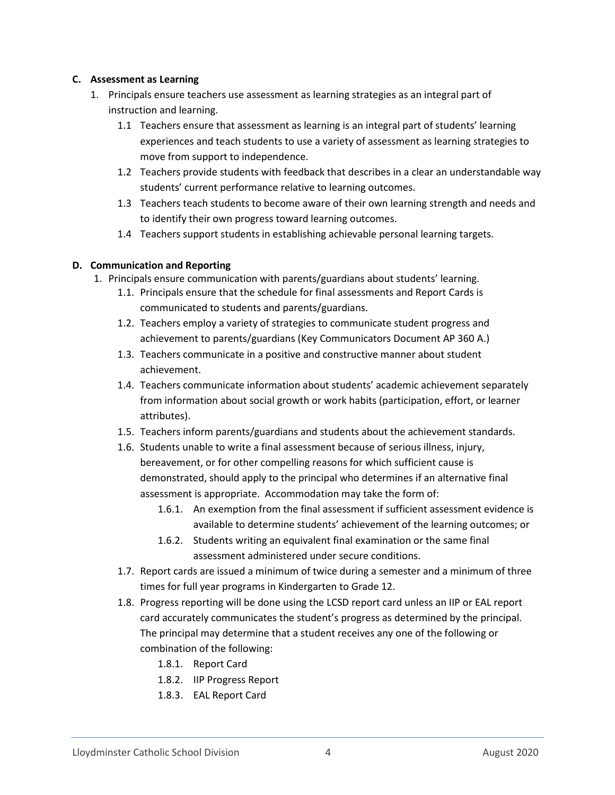#### **C. Assessment as Learning**

- 1. Principals ensure teachers use assessment as learning strategies as an integral part of instruction and learning.
	- 1.1 Teachers ensure that assessment as learning is an integral part of students' learning experiences and teach students to use a variety of assessment as learning strategies to move from support to independence.
	- 1.2 Teachers provide students with feedback that describes in a clear an understandable way students' current performance relative to learning outcomes.
	- 1.3 Teachers teach students to become aware of their own learning strength and needs and to identify their own progress toward learning outcomes.
	- 1.4 Teachers support students in establishing achievable personal learning targets.

#### **D. Communication and Reporting**

- 1. Principals ensure communication with parents/guardians about students' learning.
	- 1.1. Principals ensure that the schedule for final assessments and Report Cards is communicated to students and parents/guardians.
	- 1.2. Teachers employ a variety of strategies to communicate student progress and achievement to parents/guardians (Key Communicators Document AP 360 A.)
	- 1.3. Teachers communicate in a positive and constructive manner about student achievement.
	- 1.4. Teachers communicate information about students' academic achievement separately from information about social growth or work habits (participation, effort, or learner attributes).
	- 1.5. Teachers inform parents/guardians and students about the achievement standards.
	- 1.6. Students unable to write a final assessment because of serious illness, injury, bereavement, or for other compelling reasons for which sufficient cause is demonstrated, should apply to the principal who determines if an alternative final assessment is appropriate. Accommodation may take the form of:
		- 1.6.1. An exemption from the final assessment if sufficient assessment evidence is available to determine students' achievement of the learning outcomes; or
		- 1.6.2. Students writing an equivalent final examination or the same final assessment administered under secure conditions.
	- 1.7. Report cards are issued a minimum of twice during a semester and a minimum of three times for full year programs in Kindergarten to Grade 12.
	- 1.8. Progress reporting will be done using the LCSD report card unless an IIP or EAL report card accurately communicates the student's progress as determined by the principal. The principal may determine that a student receives any one of the following or combination of the following:
		- 1.8.1. Report Card
		- 1.8.2. IIP Progress Report
		- 1.8.3. EAL Report Card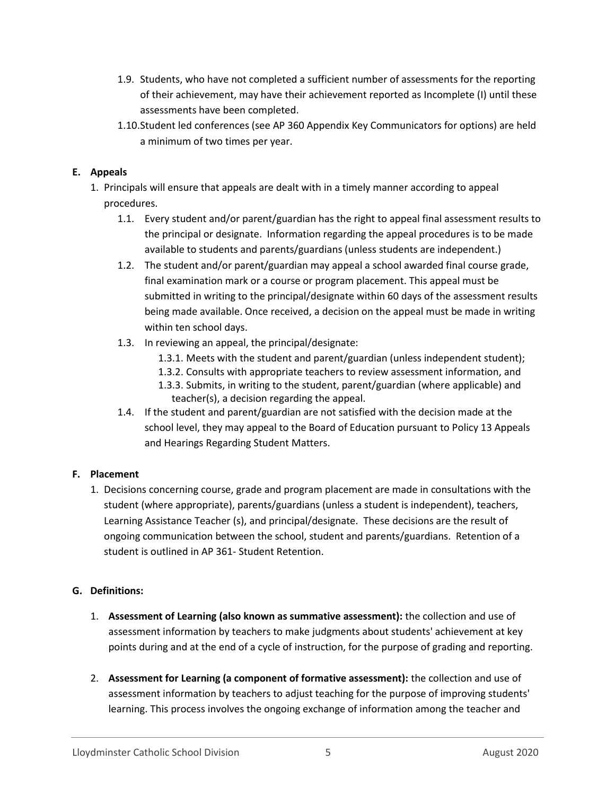- 1.9. Students, who have not completed a sufficient number of assessments for the reporting of their achievement, may have their achievement reported as Incomplete (I) until these assessments have been completed.
- 1.10.Student led conferences (see AP 360 Appendix Key Communicators for options) are held a minimum of two times per year.

## **E. Appeals**

- 1. Principals will ensure that appeals are dealt with in a timely manner according to appeal procedures.
	- 1.1. Every student and/or parent/guardian has the right to appeal final assessment results to the principal or designate. Information regarding the appeal procedures is to be made available to students and parents/guardians (unless students are independent.)
	- 1.2. The student and/or parent/guardian may appeal a school awarded final course grade, final examination mark or a course or program placement. This appeal must be submitted in writing to the principal/designate within 60 days of the assessment results being made available. Once received, a decision on the appeal must be made in writing within ten school days.
	- 1.3. In reviewing an appeal, the principal/designate:
		- 1.3.1. Meets with the student and parent/guardian (unless independent student);
		- 1.3.2. Consults with appropriate teachers to review assessment information, and
		- 1.3.3. Submits, in writing to the student, parent/guardian (where applicable) and teacher(s), a decision regarding the appeal.
	- 1.4. If the student and parent/guardian are not satisfied with the decision made at the school level, they may appeal to the Board of Education pursuant to Policy 13 Appeals and Hearings Regarding Student Matters.

# **F. Placement**

1. Decisions concerning course, grade and program placement are made in consultations with the student (where appropriate), parents/guardians (unless a student is independent), teachers, Learning Assistance Teacher (s), and principal/designate. These decisions are the result of ongoing communication between the school, student and parents/guardians. Retention of a student is outlined in AP 361- Student Retention.

# **G. Definitions:**

- 1. **Assessment of Learning (also known as summative assessment):** the collection and use of assessment information by teachers to make judgments about students' achievement at key points during and at the end of a cycle of instruction, for the purpose of grading and reporting.
- 2. **Assessment for Learning (a component of formative assessment):** the collection and use of assessment information by teachers to adjust teaching for the purpose of improving students' learning. This process involves the ongoing exchange of information among the teacher and